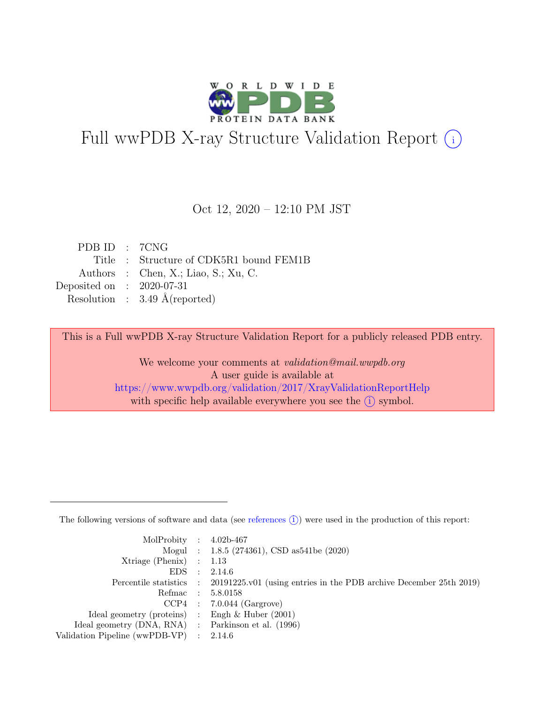

# Full wwPDB X-ray Structure Validation Report  $(i)$

#### Oct 12, 2020 – 12:10 PM JST

| PDB ID : 7CNG               |                                          |
|-----------------------------|------------------------------------------|
|                             | Title : Structure of CDK5R1 bound FEM1B  |
|                             | Authors : Chen, X.; Liao, S.; Xu, C.     |
| Deposited on : $2020-07-31$ |                                          |
|                             | Resolution : $3.49 \text{ Å}$ (reported) |
|                             |                                          |

This is a Full wwPDB X-ray Structure Validation Report for a publicly released PDB entry.

We welcome your comments at validation@mail.wwpdb.org A user guide is available at <https://www.wwpdb.org/validation/2017/XrayValidationReportHelp> with specific help available everywhere you see the  $(i)$  symbol.

The following versions of software and data (see [references](https://www.wwpdb.org/validation/2017/XrayValidationReportHelp#references)  $(i)$ ) were used in the production of this report:

| MolProbity : $4.02b-467$                            |                |                                                                                            |
|-----------------------------------------------------|----------------|--------------------------------------------------------------------------------------------|
|                                                     |                | Mogul : 1.8.5 (274361), CSD as 541be (2020)                                                |
| $Xtriangle (Phenix)$ : 1.13                         |                |                                                                                            |
| EDS                                                 | $\mathbb{R}^n$ | 2.14.6                                                                                     |
|                                                     |                | Percentile statistics : 20191225.v01 (using entries in the PDB archive December 25th 2019) |
| Refmac : 5.8.0158                                   |                |                                                                                            |
|                                                     |                | $CCP4$ : 7.0.044 (Gargrove)                                                                |
| Ideal geometry (proteins) : Engh $\&$ Huber (2001)  |                |                                                                                            |
| Ideal geometry (DNA, RNA) : Parkinson et al. (1996) |                |                                                                                            |
| Validation Pipeline (wwPDB-VP) : $2.14.6$           |                |                                                                                            |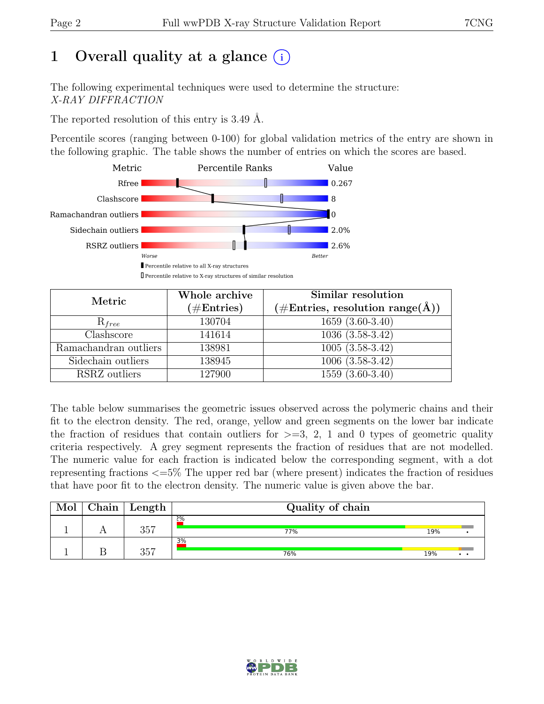# 1 Overall quality at a glance  $(i)$

The following experimental techniques were used to determine the structure: X-RAY DIFFRACTION

The reported resolution of this entry is 3.49 Å.

Percentile scores (ranging between 0-100) for global validation metrics of the entry are shown in the following graphic. The table shows the number of entries on which the scores are based.



| Metric                | Whole archive<br>$(\#Entries)$ | Similar resolution<br>$(\# \text{Entries}, \text{ resolution } \text{range}(\AA))$ |
|-----------------------|--------------------------------|------------------------------------------------------------------------------------|
| $R_{free}$            | 130704                         | $1659(3.60-3.40)$                                                                  |
| Clashscore            | 141614                         | $1036(3.\overline{58-3.42})$                                                       |
| Ramachandran outliers | 138981                         | $1005(3.58-3.42)$                                                                  |
| Sidechain outliers    | 138945                         | $1006(3.58-3.42)$                                                                  |
| RSRZ outliers         | 127900                         | $\overline{1559}$ $(\overline{3.60} - 3.40)$                                       |

The table below summarises the geometric issues observed across the polymeric chains and their fit to the electron density. The red, orange, yellow and green segments on the lower bar indicate the fraction of residues that contain outliers for  $>=$  3, 2, 1 and 0 types of geometric quality criteria respectively. A grey segment represents the fraction of residues that are not modelled. The numeric value for each fraction is indicated below the corresponding segment, with a dot representing fractions <=5% The upper red bar (where present) indicates the fraction of residues that have poor fit to the electron density. The numeric value is given above the bar.

| Mol | Chain | Length | Quality of chain |     |                      |
|-----|-------|--------|------------------|-----|----------------------|
|     |       | 357    | 2%<br>77%        | 19% |                      |
|     |       | 357    | 3%<br>76%        | 19% | $\ddot{\phantom{a}}$ |

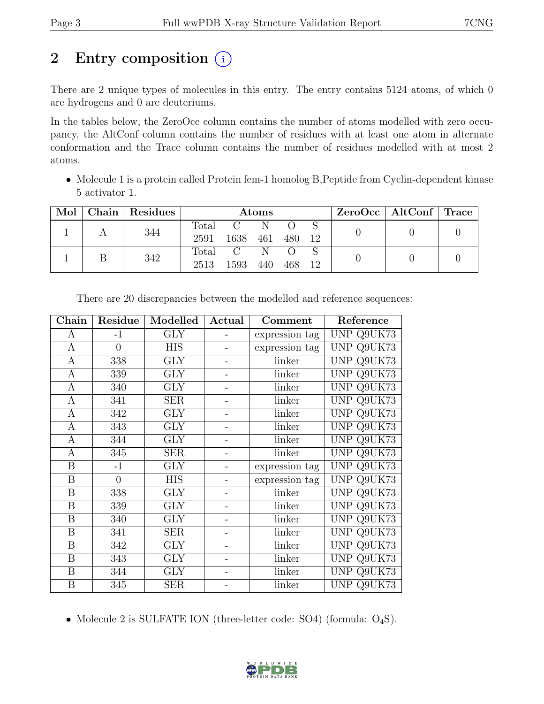# 2 Entry composition  $(i)$

There are 2 unique types of molecules in this entry. The entry contains 5124 atoms, of which 0 are hydrogens and 0 are deuteriums.

In the tables below, the ZeroOcc column contains the number of atoms modelled with zero occupancy, the AltConf column contains the number of residues with at least one atom in alternate conformation and the Trace column contains the number of residues modelled with at most 2 atoms.

• Molecule 1 is a protein called Protein fem-1 homolog B, Peptide from Cyclin-dependent kinase 5 activator 1.

| Mol | Chain   Residues | Atoms         |               |     | $ZeroOcc \mid AltConf \mid Trace \mid$ |     |  |  |
|-----|------------------|---------------|---------------|-----|----------------------------------------|-----|--|--|
|     | 344              | Total<br>2591 | $C-N$<br>1638 | 461 | 480                                    | -12 |  |  |
|     | 342              | Total<br>2513 | C N<br>1593   | 440 | $\left( \right)$<br>468                | 12  |  |  |

| Chain            | Residue        | Modelled   | Actual | Comment        | Reference  |
|------------------|----------------|------------|--------|----------------|------------|
| A                | $-1$           | <b>GLY</b> |        | expression tag | UNP Q9UK73 |
| $\mathbf{A}$     | $\overline{0}$ | <b>HIS</b> |        | expression tag | UNP Q9UK73 |
| $\mathbf{A}$     | 338            | <b>GLY</b> |        | linker         | UNP Q9UK73 |
| $\boldsymbol{A}$ | 339            | <b>GLY</b> |        | linker         | UNP Q9UK73 |
| $\mathbf{A}$     | 340            | <b>GLY</b> |        | linker         | UNP Q9UK73 |
| A                | 341            | <b>SER</b> |        | linker         | UNP Q9UK73 |
| $\mathbf{A}$     | 342            | <b>GLY</b> |        | linker         | UNP Q9UK73 |
| A                | 343            | <b>GLY</b> |        | linker         | UNP Q9UK73 |
| $\mathbf{A}$     | 344            | <b>GLY</b> |        | linker         | UNP Q9UK73 |
| A                | 345            | <b>SER</b> |        | linker         | UNP Q9UK73 |
| B                | $-1$           | GLY        |        | expression tag | UNP Q9UK73 |
| $\boldsymbol{B}$ | $\overline{0}$ | <b>HIS</b> |        | expression tag | UNP Q9UK73 |
| $\boldsymbol{B}$ | 338            | <b>GLY</b> |        | linker         | UNP Q9UK73 |
| $\boldsymbol{B}$ | 339            | <b>GLY</b> |        | linker         | UNP Q9UK73 |
| B                | 340            | <b>GLY</b> |        | linker         | UNP Q9UK73 |
| B                | 341            | <b>SER</b> |        | linker         | UNP Q9UK73 |
| $\boldsymbol{B}$ | 342            | <b>GLY</b> |        | linker         | UNP Q9UK73 |
| $\boldsymbol{B}$ | 343            | <b>GLY</b> |        | linker         | UNP Q9UK73 |
| $\boldsymbol{B}$ | 344            | <b>GLY</b> |        | linker         | UNP Q9UK73 |
| B                | 345            | <b>SER</b> |        | linker         | UNP Q9UK73 |

There are 20 discrepancies between the modelled and reference sequences:

• Molecule 2 is SULFATE ION (three-letter code: SO4) (formula:  $O_4S$ ).

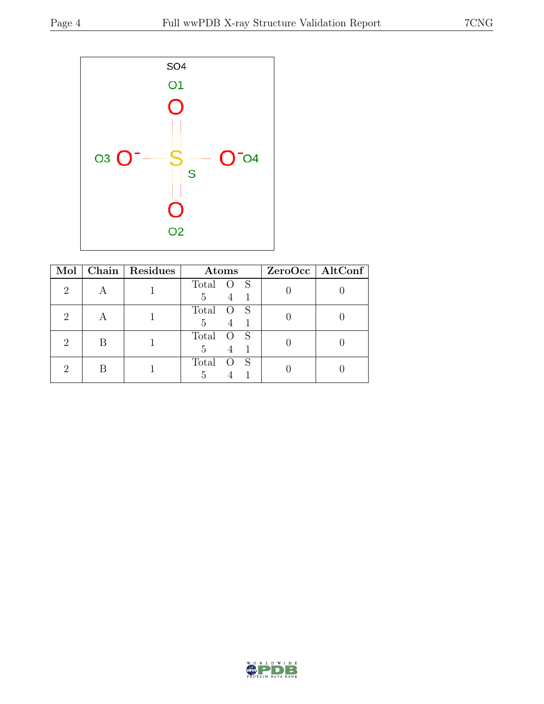

| Mol |   | Chain Residues | Atoms                                                 | ZeroOcc   AltConf |
|-----|---|----------------|-------------------------------------------------------|-------------------|
| 2   |   |                | Total<br>$\overline{\mathbf{S}}$<br>– O<br>4 1<br>5   |                   |
|     |   |                | Total<br>- S<br><sup>O</sup><br>$\overline{4}$<br>5   |                   |
|     | B |                | Total<br>- S<br>$\overline{O}$<br>$\overline{4}$<br>5 |                   |
|     |   |                | Total<br>-S<br>$\left( \right)$<br>5                  |                   |

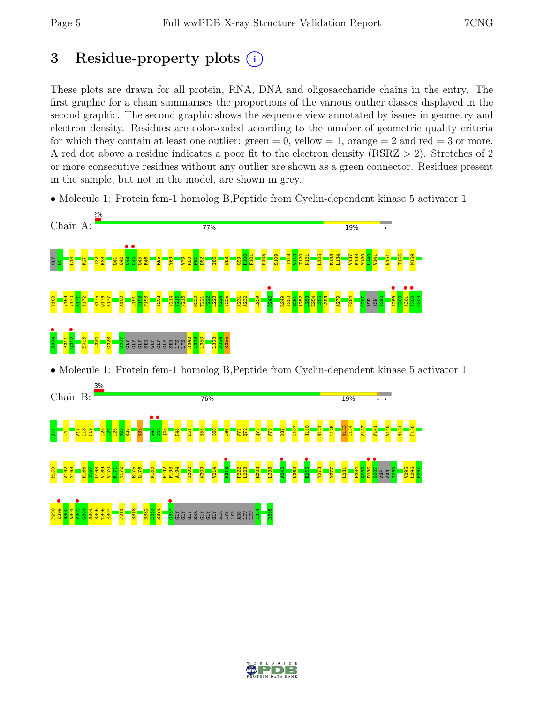# 3 Residue-property plots  $(i)$

These plots are drawn for all protein, RNA, DNA and oligosaccharide chains in the entry. The first graphic for a chain summarises the proportions of the various outlier classes displayed in the second graphic. The second graphic shows the sequence view annotated by issues in geometry and electron density. Residues are color-coded according to the number of geometric quality criteria for which they contain at least one outlier:  $green = 0$ , yellow  $= 1$ , orange  $= 2$  and red  $= 3$  or more. A red dot above a residue indicates a poor fit to the electron density (RSRZ > 2). Stretches of 2 or more consecutive residues without any outlier are shown as a green connector. Residues present in the sample, but not in the model, are shown in grey.

• Molecule 1: Protein fem-1 homolog B, Peptide from Cyclin-dependent kinase 5 activator 1



• Molecule 1: Protein fem-1 homolog B, Peptide from Cyclin-dependent kinase 5 activator 1



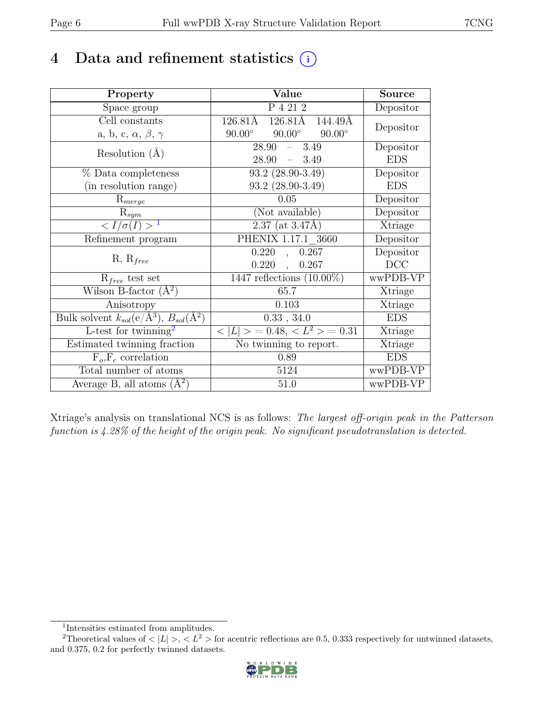## 4 Data and refinement statistics  $(i)$

| Property                                                             | Value                                                    | <b>Source</b> |
|----------------------------------------------------------------------|----------------------------------------------------------|---------------|
| Space group                                                          | P 4 21 2                                                 | Depositor     |
| Cell constants                                                       | 126.81Å 126.81Å<br>144.49Å                               | Depositor     |
| a, b, c, $\alpha$ , $\beta$ , $\gamma$                               | $90.00^\circ$<br>$90.00^\circ$<br>$90.00^\circ$          |               |
| Resolution $(A)$                                                     | 28.90<br>$-3.49$                                         | Depositor     |
|                                                                      | $-3.49$<br>28.90                                         | <b>EDS</b>    |
| % Data completeness                                                  | $93.2$ $(28.90-3.49)$                                    | Depositor     |
| (in resolution range)                                                | $93.2$ $(28.90-3.49)$                                    | <b>EDS</b>    |
| $R_{merge}$                                                          | 0.05                                                     | Depositor     |
| $R_{sym}$                                                            | (Not available)                                          | Depositor     |
| $\langle I/\sigma(I) \rangle$ <sup>1</sup>                           | $2.37$ (at $3.47$ Å)                                     | Xtriage       |
| Refinement program                                                   | PHENIX 1.17.1 3660                                       | Depositor     |
| $R, R_{free}$                                                        | 0.220<br>0.267<br>$\ddot{\phantom{0}}$                   | Depositor     |
|                                                                      | 0.220<br>0.267<br>$\ddot{\phantom{a}}$                   | DCC           |
| $R_{free}$ test set                                                  | $1447$ reflections $(10.00\%)$                           | wwPDB-VP      |
| Wilson B-factor $(A^2)$                                              | 65.7                                                     | Xtriage       |
| Anisotropy                                                           | 0.103                                                    | Xtriage       |
| Bulk solvent $k_{sol}(e/\mathring{A}^3)$ , $B_{sol}(\mathring{A}^2)$ | 0.33, 34.0                                               | <b>EDS</b>    |
| L-test for twinning <sup>2</sup>                                     | $\langle  L  \rangle = 0.48, \langle L^2 \rangle = 0.31$ | Xtriage       |
| Estimated twinning fraction                                          | No twinning to report.                                   | Xtriage       |
| $\overline{F_o,F_c}$ correlation                                     | 0.89                                                     | <b>EDS</b>    |
| Total number of atoms                                                | 5124                                                     | wwPDB-VP      |
| Average B, all atoms $(A^2)$                                         | 51.0                                                     | wwPDB-VP      |

Xtriage's analysis on translational NCS is as follows: The largest off-origin peak in the Patterson function is 4.28% of the height of the origin peak. No significant pseudotranslation is detected.

<sup>&</sup>lt;sup>2</sup>Theoretical values of  $\langle |L| \rangle$ ,  $\langle L^2 \rangle$  for acentric reflections are 0.5, 0.333 respectively for untwinned datasets, and 0.375, 0.2 for perfectly twinned datasets.



<span id="page-5-1"></span><span id="page-5-0"></span><sup>1</sup> Intensities estimated from amplitudes.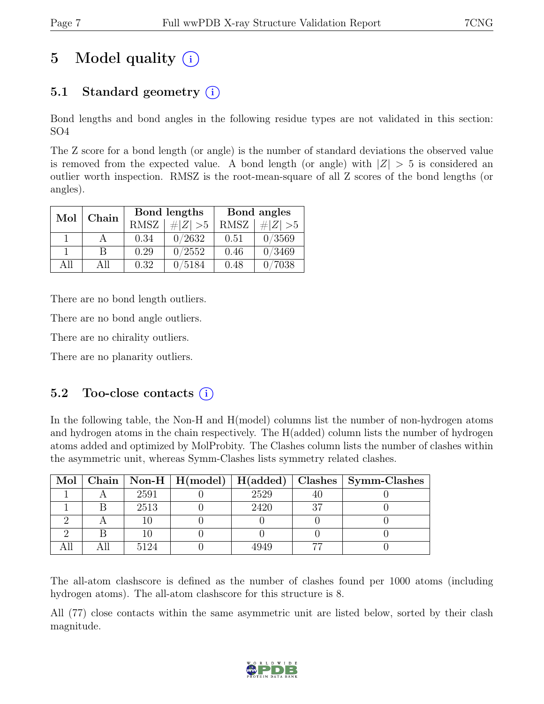# 5 Model quality  $(i)$

## 5.1 Standard geometry  $(i)$

Bond lengths and bond angles in the following residue types are not validated in this section: SO4

The Z score for a bond length (or angle) is the number of standard deviations the observed value is removed from the expected value. A bond length (or angle) with  $|Z| > 5$  is considered an outlier worth inspection. RMSZ is the root-mean-square of all Z scores of the bond lengths (or angles).

| Mol | Chain |             | Bond lengths | Bond angles |             |
|-----|-------|-------------|--------------|-------------|-------------|
|     |       | <b>RMSZ</b> | $\# Z  > 5$  | <b>RMSZ</b> | # $ Z  > 5$ |
|     |       | 0.34        | 0/2632       | 0.51        | 0/3569      |
|     | В     | 0.29        | 0/2552       | 0.46        | 0/3469      |
| ΑH  | All   | 0.32        | 0/5184       | 0.48        | 7038        |

There are no bond length outliers.

There are no bond angle outliers.

There are no chirality outliers.

There are no planarity outliers.

### 5.2 Too-close contacts  $(i)$

In the following table, the Non-H and H(model) columns list the number of non-hydrogen atoms and hydrogen atoms in the chain respectively. The H(added) column lists the number of hydrogen atoms added and optimized by MolProbity. The Clashes column lists the number of clashes within the asymmetric unit, whereas Symm-Clashes lists symmetry related clashes.

| $Mol \parallel$ |      |      | Chain   Non-H   H(model)   H(added)   Clashes   Symm-Clashes |
|-----------------|------|------|--------------------------------------------------------------|
|                 | 2591 | 2529 |                                                              |
|                 | 2513 | 2420 |                                                              |
|                 |      |      |                                                              |
|                 |      |      |                                                              |
|                 | 194  |      |                                                              |

The all-atom clashscore is defined as the number of clashes found per 1000 atoms (including hydrogen atoms). The all-atom clashscore for this structure is 8.

All (77) close contacts within the same asymmetric unit are listed below, sorted by their clash magnitude.

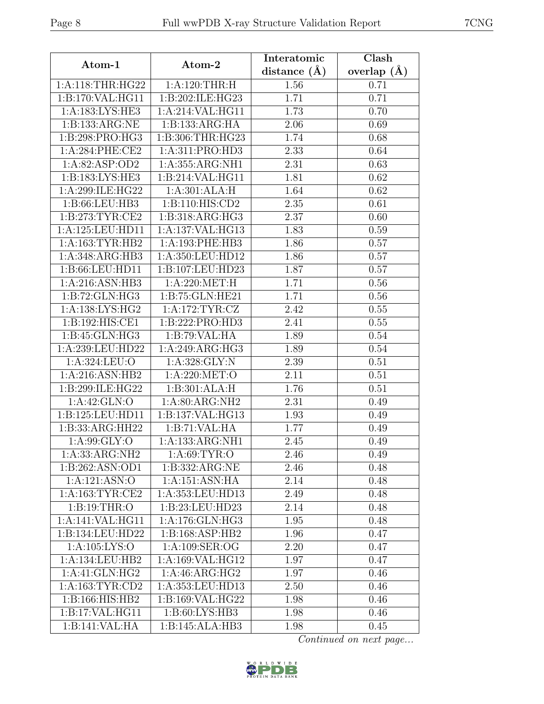|                              |                     | Interatomic    | Clash           |
|------------------------------|---------------------|----------------|-----------------|
| Atom-1                       | Atom-2              | distance $(A)$ | overlap $(\AA)$ |
| 1:A:118:THR:HG22             | 1:A:120:THR:H       | 1.56           | 0.71            |
| 1:B:170:VAL:HG11             | 1:B:202:ILE:HG23    | 1.71           | 0.71            |
| $1:A:18\overline{3:LYS:HE3}$ | 1:A:214:VAL:HG11    | 1.73           | 0.70            |
| 1:B:133:ARG:NE               | 1:B:133:ARG:HA      | 2.06           | 0.69            |
| 1:B:298:PRO:HG3              | 1:B:306:THR:HG23    | 1.74           | 0.68            |
| 1: A:284:PHE:CE2             | 1:A:311:PRO:HD3     | 2.33           | 0.64            |
| 1:A:82:ASP:OD2               | 1:A:355:ARG:NH1     | 2.31           | 0.63            |
| 1:B:183:LYS:HE3              | 1:B:214:VAL:HG11    | 1.81           | 0.62            |
| 1:A:299:ILE:HG22             | 1:A:301:ALA:H       | 1.64           | 0.62            |
| 1:B:66:LEU:HB3               | 1: B: 110: HIS: CD2 | 2.35           | 0.61            |
| 1: B:273: TYR: CE2           | 1: B: 318: ARG: HG3 | 2.37           | 0.60            |
| 1:A:125:LEU:HD11             | 1:A:137:VAL:HG13    | 1.83           | 0.59            |
| 1:A:163:TYR:HB2              | 1:A:193:PHE:HB3     | 1.86           | 0.57            |
| 1:A:348:ARG:HB3              | 1:A:350:LEU:HD12    | 1.86           | 0.57            |
| 1:B:66:LEU:HD11              | 1:B:107:LEU:HD23    | 1.87           | 0.57            |
| 1:A:216:ASN:HB3              | 1:A:220:MET:H       | 1.71           | 0.56            |
| 1:B:72:GLN:HG3               | 1:B:75:GLN:HE21     | 1.71           | 0.56            |
| 1:A:138:LYS:HG2              | 1: A:172:TYR: CZ    | 2.42           | 0.55            |
| 1:B:192:HIS:CE1              | 1:B:222:PRO:HD3     | 2.41           | 0.55            |
| 1: B: 45: GLN: HG3           | 1:B:79:VAL:HA       | 1.89           | 0.54            |
| 1:A:239:LEU:HD22             | 1:A:249:ARG:HG3     | 1.89           | 0.54            |
| 1:A:324:LEU:O                | 1:A:328:GLY:N       | 2.39           | 0.51            |
| 1:A:216:ASN:HB2              | 1:A:220:MET:O       | 2.11           | 0.51            |
| 1:B:299:ILE:HG22             | 1:B:301:ALA:H       | 1.76           | 0.51            |
| 1:A:42:GLN:O                 | 1:A:80:ARG:NH2      | 2.31           | 0.49            |
| 1:B:125:LEU:HD11             | 1:B:137:VAL:HG13    | 1.93           | 0.49            |
| 1:B:33:ARG:HH22              | 1:B:71:VAL:HA       | 1.77           | 0.49            |
| 1: A:99: GLY:O               | 1:A:133:ARG:NH1     | 2.45           | 0.49            |
| 1:A:33:ARG:NH2               | 1: A:69: TYR:O      | 2.46           | 0.49            |
| 1:B:262:ASN:OD1              | 1:B:332:ARG:NE      | 2.46           | 0.48            |
| 1:A:121:ASN:O                | 1:A:151:ASN:HA      | 2.14           | 0.48            |
| 1: A: 163: TYR: CE2          | 1:A:353:LEU:HD13    | 2.49           | 0.48            |
| 1:B:19:THR:O                 | 1:B:23:LEU:HD23     | 2.14           | 0.48            |
| 1:A:141:VAL:HG11             | 1: A:176: GLN: HG3  | 1.95           | 0.48            |
| 1:B:134:LEU:HD22             | 1: B: 168: ASP: HB2 | 1.96           | 0.47            |
| 1: A: 105: LYS: O            | 1: A:109: SER:OG    | 2.20           | 0.47            |
| 1:A:134:LEU:HB2              | 1:A:169:VAL:HG12    | 1.97           | 0.47            |
| 1:A:41:GLN:HG2               | 1: A:46: ARG:HG2    | 1.97           | 0.46            |
| 1: A: 163: TYR: CD2          | 1:A:353:LEU:HD13    | 2.50           | 0.46            |
| 1:B:166:HIS:HB2              | 1:B:169:VAL:HG22    | 1.98           | 0.46            |
| 1:B:17:VAL:HG11              | 1:B:60:LYS:HB3      | 1.98           | 0.46            |
| 1:B:141:VAL:HA               | 1:B:145:ALA:HB3     | 1.98           | 0.45            |

Continued on next page...

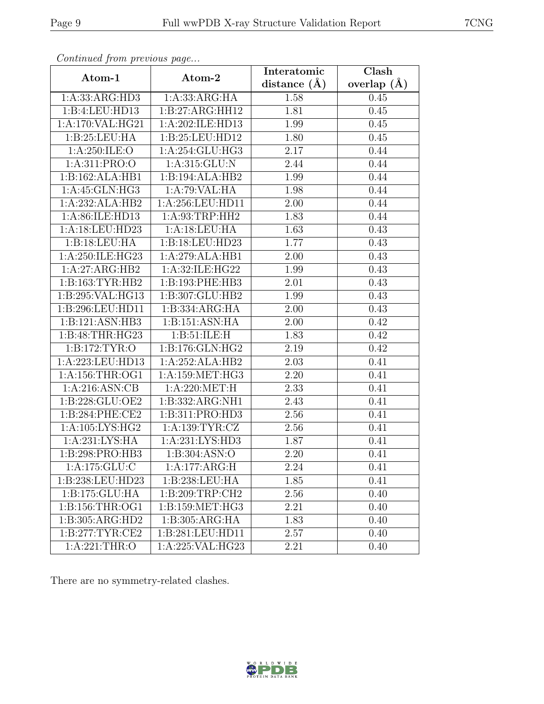| Atom-1              | Atom-2                      | Interatomic<br>distance $(A)$ | $\overline{\text{Clash}}$<br>overlap $(\AA)$ |
|---------------------|-----------------------------|-------------------------------|----------------------------------------------|
| 1:A:33:ARG:HD3      | 1:A:33:ARG:HA               | 1.58                          | 0.45                                         |
| 1:B:4:LEU:HD13      | 1:B:27:ARG:HH12             | 1.81                          | 0.45                                         |
| 1:A:170:VAL:HG21    | 1:A:202:ILE:HD13            | 1.99                          | 0.45                                         |
| 1:B:25:LEU:HA       | 1:B:25:LEU:HD12             | 1.80                          | 0.45                                         |
| 1:A:250:ILE:O       | 1:A:254:GLU:HG3             | 2.17                          | 0.44                                         |
| 1:A:311:PRO:O       | 1:A:315:GLU:N               | 2.44                          | 0.44                                         |
| 1:B:162:ALA:HB1     | 1:B:194:ALA:HB2             | 1.99                          | 0.44                                         |
| 1: A:45: GLN:HG3    | 1:A:79:VAL:HA               | 1.98                          | 0.44                                         |
| 1:A:232:ALA:HB2     | 1:A:256:LEU:HD11            | 2.00                          | 0.44                                         |
| 1:A:86:ILE:HD13     | 1: A:93:TRP:HH2             | 1.83                          | 0.44                                         |
| 1:A:18:LEU:HD23     | 1:A:18:LEU:HA               | 1.63                          | 0.43                                         |
| 1:B:18:LEU:HA       | 1:B:18:LEU:HD23             | $\overline{1.77}$             | 0.43                                         |
| 1:A:250:ILE:HG23    | 1:A:279:ALA:HB1             | 2.00                          | 0.43                                         |
| 1:A:27:ARG:HB2      | 1:A:32:ILE:HG22             | 1.99                          | 0.43                                         |
| 1: B: 163: TYR: HB2 | 1:B:193:PHE:HB3             | 2.01                          | 0.43                                         |
| 1:B:295:VAL:HG13    | 1:B:307:GLU:HB2             | 1.99                          | 0.43                                         |
| 1:B:296:LEU:HD11    | 1:B:334:ARG:HA              | 2.00                          | 0.43                                         |
| 1:B:121:ASN:HB3     | 1:B:151:ASN:HA              | 2.00                          | 0.42                                         |
| 1: B:48:THR:HG23    | 1: B:51: ILE:H              | 1.83                          | 0.42                                         |
| 1:B:172:TYR:O       | 1:B:176:GLN:HG2             | 2.19                          | 0.42                                         |
| 1:A:223:LEU:HD13    | 1:A:252:ALA:HB2             | 2.03                          | 0.41                                         |
| 1: A: 156: THR: OG1 | 1:A:159:MET:HG3             | 2.20                          | 0.41                                         |
| 1:A:216:ASN:CB      | 1: A:220: MET:H             | 2.33                          | 0.41                                         |
| 1:B:228:GLU:OE2     | 1:B:332:ARG:NH1             | 2.43                          | 0.41                                         |
| 1:B:284:PHE:CE2     | 1:B:311:PRO:HD3             | 2.56                          | 0.41                                         |
| 1:A:105:LYS:HG2     | 1: A: 139: TYR: CZ          | 2.56                          | 0.41                                         |
| 1: A:231: LYS: HA   | 1:A:231:LYS:H <sub>D3</sub> | 1.87                          | 0.41                                         |
| 1:B:298:PRO:HB3     | 1:B:304:ASN:O               | 2.20                          | 0.41                                         |
| 1:A:175:GLU:C       | 1:A:177:ARG:H               | 2.24                          | 0.41                                         |
| 1:B:238:LEU:HD23    | 1:B:238:LEU:HA              | 1.85                          | 0.41                                         |
| 1:B:175:GLU:HA      | 1:B:209:TRP:CH2             | 2.56                          | 0.40                                         |
| 1:B:156:THR:OG1     | 1:B:159:MET:HG3             | 2.21                          | 0.40                                         |
| 1:B:305:ARG:HD2     | 1:B:305:ARG:HA              | 1.83                          | 0.40                                         |
| 1: B:277: TYR: CE2  | 1:B:281:LEU:HD11            | 2.57                          | 0.40                                         |
| 1:A:221:THR:O       | 1:A:225:VAL:HG23            | 2.21                          | 0.40                                         |

Continued from previous page.

There are no symmetry-related clashes.

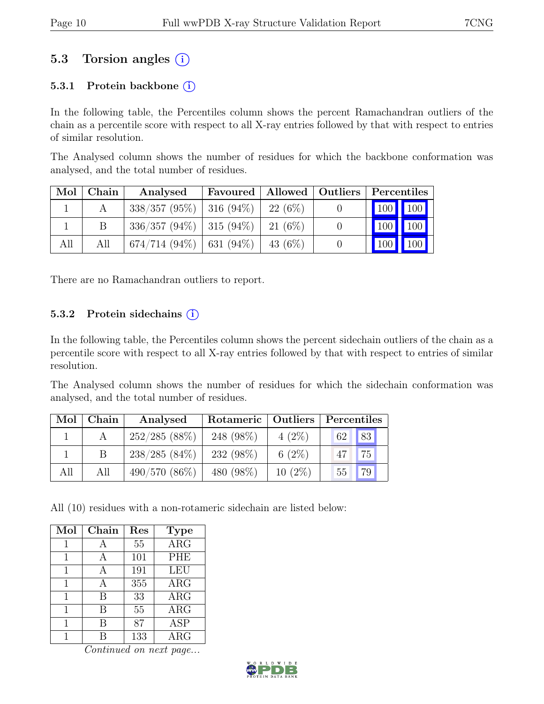### 5.3 Torsion angles (i)

#### 5.3.1 Protein backbone  $(i)$

In the following table, the Percentiles column shows the percent Ramachandran outliers of the chain as a percentile score with respect to all X-ray entries followed by that with respect to entries of similar resolution.

The Analysed column shows the number of residues for which the backbone conformation was analysed, and the total number of residues.

| Mol | Chain | Analysed                                 | Favoured | Allowed   Outliers | Percentiles |                   |
|-----|-------|------------------------------------------|----------|--------------------|-------------|-------------------|
|     |       | $338/357 (95\%)$   316 (94\%)            |          | 22 $(6%)$          |             | 100 100           |
|     |       | $336/357 (94\%)$   315 (94\%)   21 (6\%) |          |                    | $100$ 100   |                   |
| All | All   | $674/714 (94\%)$ 631 (94\%)              |          | 43 (6\%)           |             | $\vert$ 100   100 |

There are no Ramachandran outliers to report.

#### 5.3.2 Protein sidechains  $(i)$

In the following table, the Percentiles column shows the percent sidechain outliers of the chain as a percentile score with respect to all X-ray entries followed by that with respect to entries of similar resolution.

The Analysed column shows the number of residues for which the sidechain conformation was analysed, and the total number of residues.

| Mol | Chain | Analysed        | Rotameric   Outliers |           | Percentiles |
|-----|-------|-----------------|----------------------|-----------|-------------|
|     |       | 252/285(88%)    | 248 (98%)            | $4(2\%)$  | 62 83       |
|     |       | $238/285(84\%)$ | 232 (98\%)           | 6 $(2\%)$ | 75<br>47    |
| All | All   | $490/570(86\%)$ | 480 (98%)            | $10(2\%)$ | 79<br>55    |

All (10) residues with a non-rotameric sidechain are listed below:

| Mol | Chain | Res | <b>Type</b> |
|-----|-------|-----|-------------|
| 1   | А     | 55  | ARG         |
| 1   | А     | 101 | <b>PHE</b>  |
| 1   | А     | 191 | LEU         |
| 1   | А     | 355 | $\rm{ARG}$  |
| 1   | В     | 33  | $\rm{ARG}$  |
| 1   | В     | 55  | $\rm{ARG}$  |
|     | В     | 87  | <b>ASP</b>  |
|     |       | 133 | $\rm{ARG}$  |

Continued on next page...

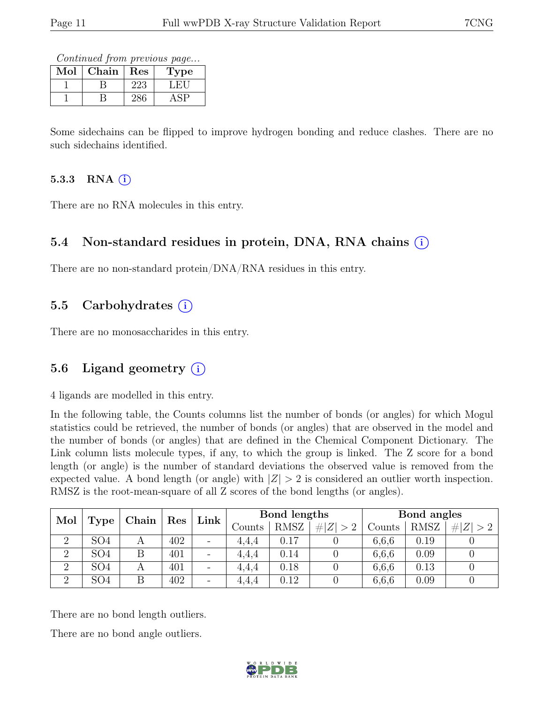Continued from previous page...

| Mol | ${\rm Chain}$ | Res | Type |
|-----|---------------|-----|------|
|     |               | 223 | . н  |
|     |               |     |      |

Some sidechains can be flipped to improve hydrogen bonding and reduce clashes. There are no such sidechains identified.

#### 5.3.3 RNA  $(i)$

There are no RNA molecules in this entry.

#### 5.4 Non-standard residues in protein, DNA, RNA chains (i)

There are no non-standard protein/DNA/RNA residues in this entry.

### 5.5 Carbohydrates (i)

There are no monosaccharides in this entry.

### 5.6 Ligand geometry  $(i)$

4 ligands are modelled in this entry.

In the following table, the Counts columns list the number of bonds (or angles) for which Mogul statistics could be retrieved, the number of bonds (or angles) that are observed in the model and the number of bonds (or angles) that are defined in the Chemical Component Dictionary. The Link column lists molecule types, if any, to which the group is linked. The Z score for a bond length (or angle) is the number of standard deviations the observed value is removed from the expected value. A bond length (or angle) with  $|Z| > 2$  is considered an outlier worth inspection. RMSZ is the root-mean-square of all Z scores of the bond lengths (or angles).

| Mol<br>Type    |                 | Chain |     |                          |        | $\operatorname{Res}$ | Link        | Bond lengths |             |             | Bond angles |  |  |
|----------------|-----------------|-------|-----|--------------------------|--------|----------------------|-------------|--------------|-------------|-------------|-------------|--|--|
|                |                 |       |     |                          | Counts | <b>RMSZ</b>          | # $ Z  > 2$ | Counts       | <b>RMSZ</b> | # $ Z  > 2$ |             |  |  |
|                | SO <sub>4</sub> |       | 402 | $\overline{\phantom{a}}$ | 4.4.4  | 0.17                 |             | 6,6,6        | 0.19        |             |             |  |  |
| $\overline{2}$ | SO <sub>4</sub> | В     | 401 | $\overline{\phantom{a}}$ | 4.4.4  | $0.14\,$             |             | 6,6,6        | 0.09        |             |             |  |  |
| $\overline{2}$ | SO <sub>4</sub> | A     | 401 | $\overline{\phantom{a}}$ | 4.4.4  | 0.18                 |             | 6,6,6        | 0.13        |             |             |  |  |
| $\Omega$       | SO <sub>4</sub> |       | 402 | $\overline{\phantom{a}}$ | 4.4.4  | 0.12                 |             | 6,6,6        | 0.09        |             |             |  |  |

There are no bond length outliers.

There are no bond angle outliers.

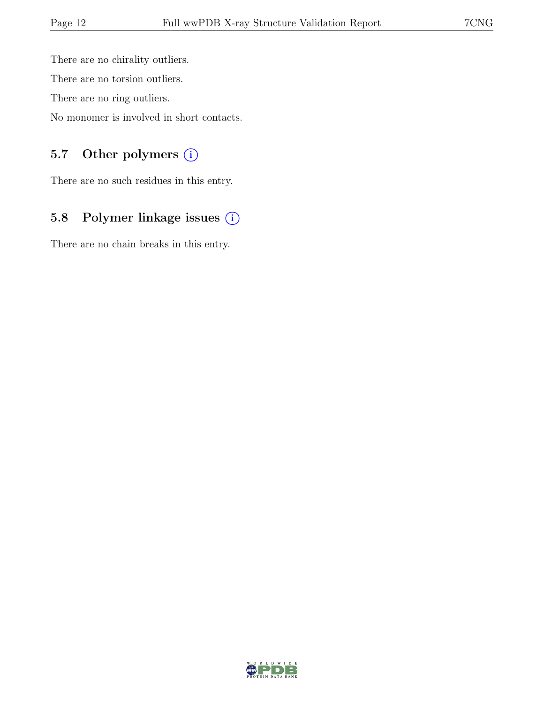There are no chirality outliers. There are no torsion outliers. There are no ring outliers.

No monomer is involved in short contacts.

### 5.7 Other polymers (i)

There are no such residues in this entry.

## 5.8 Polymer linkage issues (i)

There are no chain breaks in this entry.

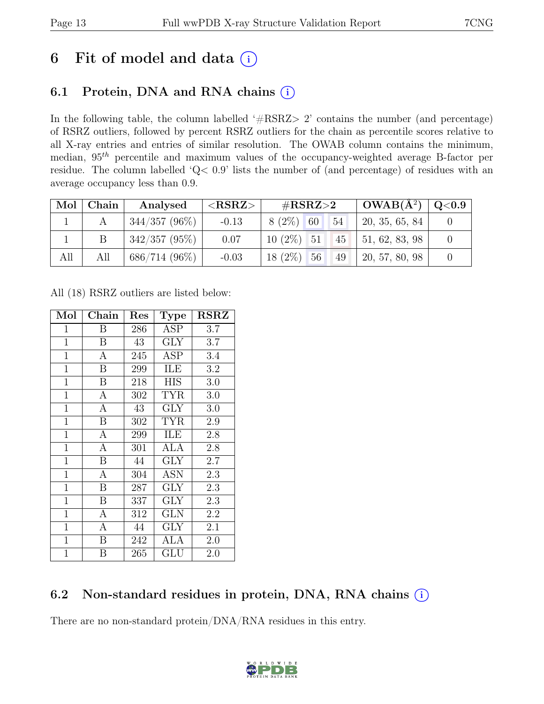## 6 Fit of model and data  $(i)$

### 6.1 Protein, DNA and RNA chains  $(i)$

In the following table, the column labelled ' $\#\text{RSRZ}>2$ ' contains the number (and percentage) of RSRZ outliers, followed by percent RSRZ outliers for the chain as percentile scores relative to all X-ray entries and entries of similar resolution. The OWAB column contains the minimum, median,  $95<sup>th</sup>$  percentile and maximum values of the occupancy-weighted average B-factor per residue. The column labelled 'Q< 0.9' lists the number of (and percentage) of residues with an average occupancy less than 0.9.

| $\text{Mol}$ | Chain | Analysed         | ${ <\hspace{-1.5pt} {\rm RSRZ}\hspace{-1.5pt}>}$ | # $RSRZ>2$                        | $\mid$ OWAB(Å <sup>2</sup> ) $\mid$ Q<0.9 $\mid$ |  |
|--------------|-------|------------------|--------------------------------------------------|-----------------------------------|--------------------------------------------------|--|
|              |       | $344/357(96\%)$  | $-0.13$                                          | 54<br>$8(2\%)$ 60                 | 20, 35, 65, 84                                   |  |
|              |       | $342/357(95\%)$  | 0.07                                             | $10(2\%)$ 51<br>$\blacksquare$ 45 | $\vert 51, 62, 83, 98 \vert$                     |  |
| All          | All   | $686/714$ (96\%) | $-0.03$                                          | $18(2\%)$ 56<br>49                | 20, 57, 80, 98                                   |  |

All (18) RSRZ outliers are listed below:

| Mol            | Chain            | Res | <b>Type</b> | $\operatorname{RSRZ}$ |
|----------------|------------------|-----|-------------|-----------------------|
| 1              | Β                | 286 | <b>ASP</b>  | 3.7                   |
| $\overline{1}$ | B                | 43  | <b>GLY</b>  | 3.7                   |
| $\mathbf{1}$   | А                | 245 | ASP         | 3.4                   |
| $\mathbf{1}$   | B                | 299 | ILE         | 3.2                   |
| $\mathbf{1}$   | B                | 218 | <b>HIS</b>  | 3.0                   |
| $\mathbf 1$    | А                | 302 | <b>TYR</b>  | 3.0                   |
| $\mathbf 1$    | А                | 43  | GLY         | 3.0                   |
| $\mathbf{1}$   | B                | 302 | <b>TYR</b>  | 2.9                   |
| $\mathbf{1}$   | $\mathbf{A}$     | 299 | ILE         | 2.8                   |
| $\mathbf{1}$   | A                | 301 | ALA         | 2.8                   |
| $\mathbf{1}$   | $\boldsymbol{B}$ | 44  | GLY         | 2.7                   |
| $\mathbf 1$    | А                | 304 | ASN         | 2.3                   |
| $\mathbf{1}$   | B                | 287 | GLY         | 2.3                   |
| $\mathbf{1}$   | B                | 337 | GLY         | 2.3                   |
| $\mathbf{1}$   | A                | 312 | <b>GLN</b>  | 2.2                   |
| $\mathbf{1}$   | А                | 44  | <b>GLY</b>  | 2.1                   |
| $\mathbf{1}$   | Β                | 242 | ALA         | $2.0\,$               |
| 1              | В                | 265 | GLU         | 2.0                   |

### 6.2 Non-standard residues in protein, DNA, RNA chains (i)

There are no non-standard protein/DNA/RNA residues in this entry.